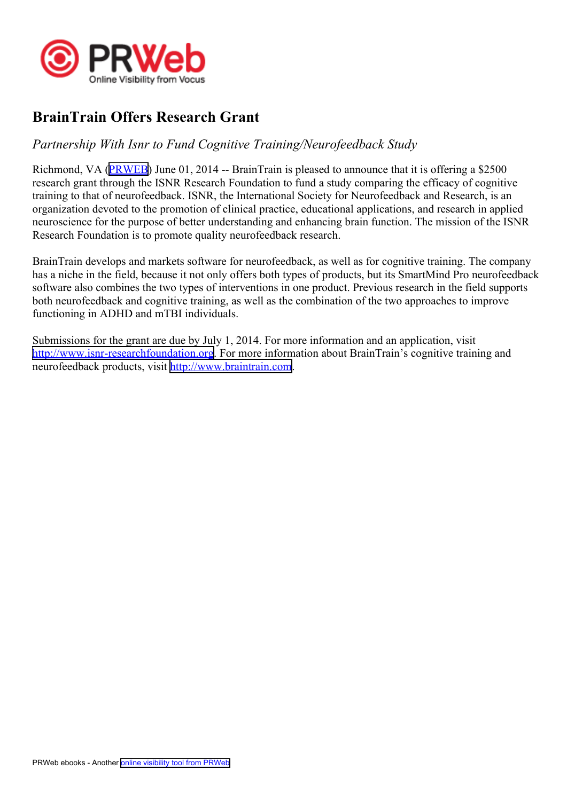

## **BrainTrain Offers Research Grant**

## *Partnership With Isnr to Fund Cognitive Training/Neurofeedback Study*

Richmond, VA [\(PRWEB\)](http://www.prweb.com) June 01, 2014 -- BrainTrain is pleased to announce that it is offering <sup>a</sup> \$2500 research gran<sup>t</sup> through the ISNR Research Foundation to fund <sup>a</sup> study comparing the efficacy of cognitive training to that of neurofeedback. ISNR, the International Society for Neurofeedback and Research, is an organization devoted to the promotion of clinical practice, educational applications, and research in applied neuroscience for the purpose of better understanding and enhancing brain function. The mission of the ISNR Research Foundation is to promote quality neurofeedback research.

BrainTrain develops and markets software for neurofeedback, as well as for cognitive training. The company has <sup>a</sup> niche in the field, because it not only offers both types of products, but its SmartMind Pro neurofeedback software also combines the two types of interventions in one product. Previous research in the field supports both neurofeedback and cognitive training, as well as the combination of the two approaches to improve functioning in ADHD and mTBI individuals.

Submissions for the gran<sup>t</sup> are due by July 1, 2014. For more information and an application, visit <http://www.isnr-researchfoundation.org>. For more information about BrainTrain's cognitive training and neurofeedback products, visit <http://www.braintrain.com>.